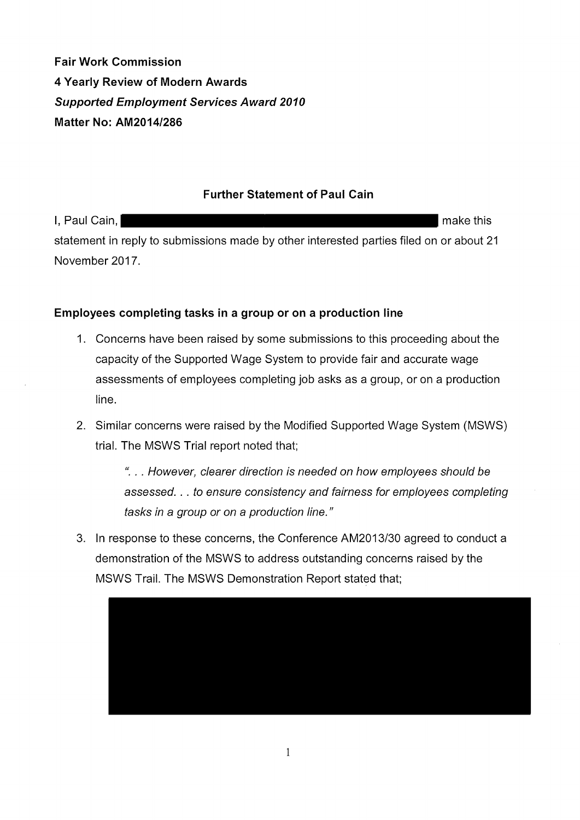**Fair Work Commission 4 Yearly Review of Modern Awards Supported Employment Services Award 2010 Matter No: AM2014/286** 

### **Further Statement of Paul Cain**

I, Paul Cain, make this and the set of the set of the set of the set of the set of the set of the set of the set of the set of the set of the set of the set of the set of the set of the set of the set of the set of the set statement in reply to submissions made by other interested parties filed on or about 21 November 2017.

# **Employees completing tasks in a group or on a production line**

- 1. Concerns have been raised by some submissions to this proceeding about the capacity of the Supported Wage System to provide fair and accurate wage assessments of employees completing job asks as a group, or on a production line.
- 2. Similar concerns were raised by the Modified Supported Wage System (MSWS) trial. The MSWS Trial report noted that;

{( . .. However, clearer direction is needed on how employees should be assessed. . . to ensure consistency and fairness for employees completing tasks in a group or on a production line."

3. In response to these concerns, the Conference AM2013/30 agreed to conduct a demonstration of the MSWS to address outstanding concerns raised by the MSWS Trail. The MSWS Demonstration Report stated that;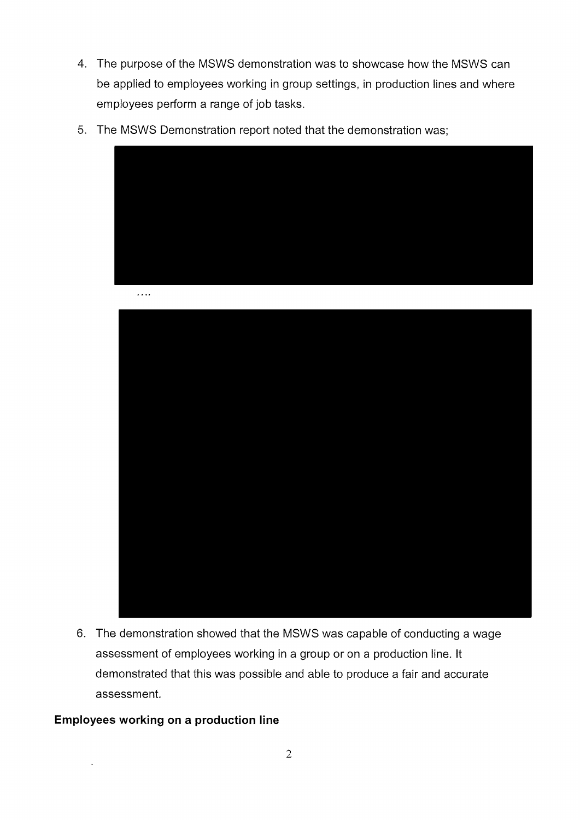- 4. The purpose of the MSWS demonstration was to showcase how the MSWS can be applied to employees working in group settings, in production lines and where employees perform a range of job tasks.
- 5. The MSWS Demonstration report noted that the demonstration was;



 $\ldots$  .



6. The demonstration showed that the MSWS was capable of conducting a wage assessment of employees working in a group or on a production line. It demonstrated that this was possible and able to produce a fair and accurate assessment.

#### **Employees working on a production line**

 $\bar{\mathcal{A}}$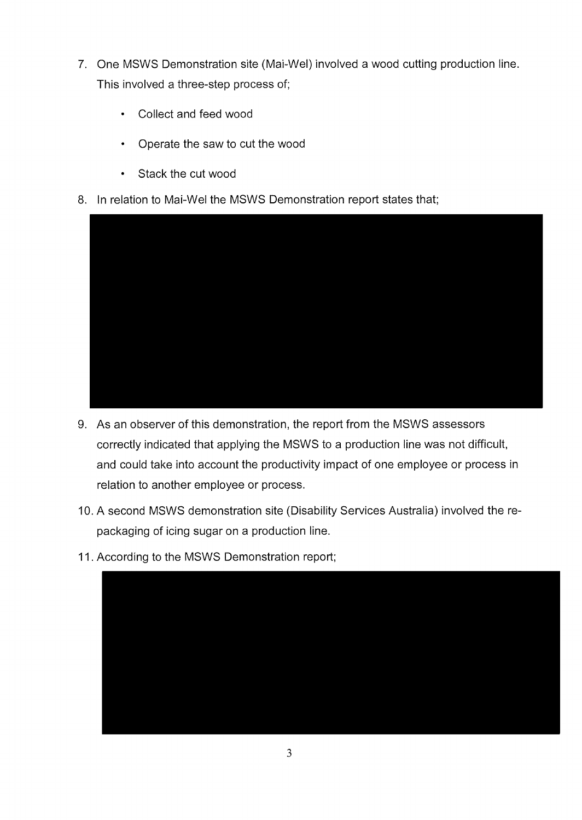- 7. One MSWS Demonstration site (Mai-Wel) involved a wood cutting production line. This involved a three-step process of;
	- Collect and feed wood
	- Operate the saw to cut the wood
	- Stack the cut wood
- 8. In relation to Mai-Wel the MSWS Demonstration report states that;



- 9. As an observer of this demonstration, the report from the MSWS assessors correctly indicated that applying the MSWS to a production line was not difficult, and could take into account the productivity impact of one employee or process in relation to another employee or process.
- 10. A second MSWS demonstration site (Disability Services Australia) involved therepackaging of icing sugar on a production line.
- 11. According to the MSWS Demonstration report;

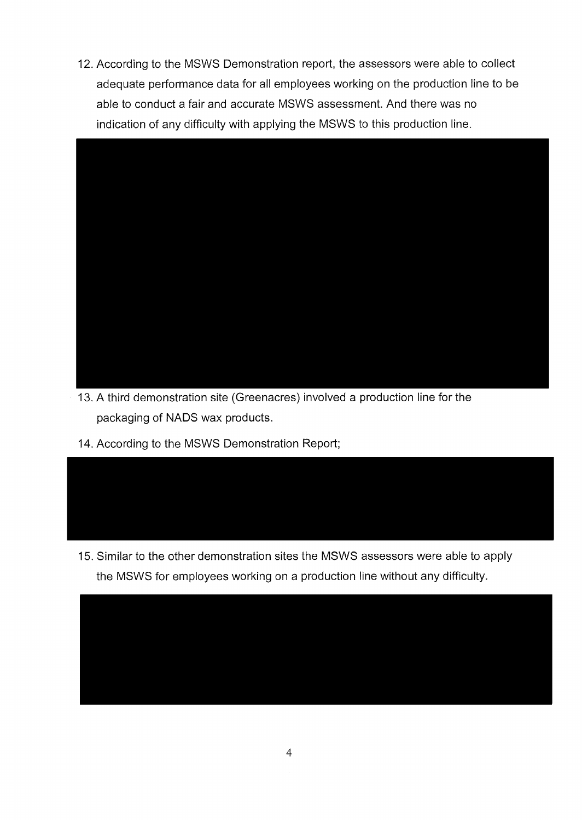12. According to the MSWS Demonstration report, the assessors were able to collect adequate performance data for all employees working on the production line to be able to conduct a fair and accurate MSWS assessment. And there was no indication of any difficulty with applying the MSWS to this production line.



- 13. A third demonstration site (Greenacres) involved a production line for the packaging of NADS wax products.
- 14. According to the MSWS Demonstration Report;



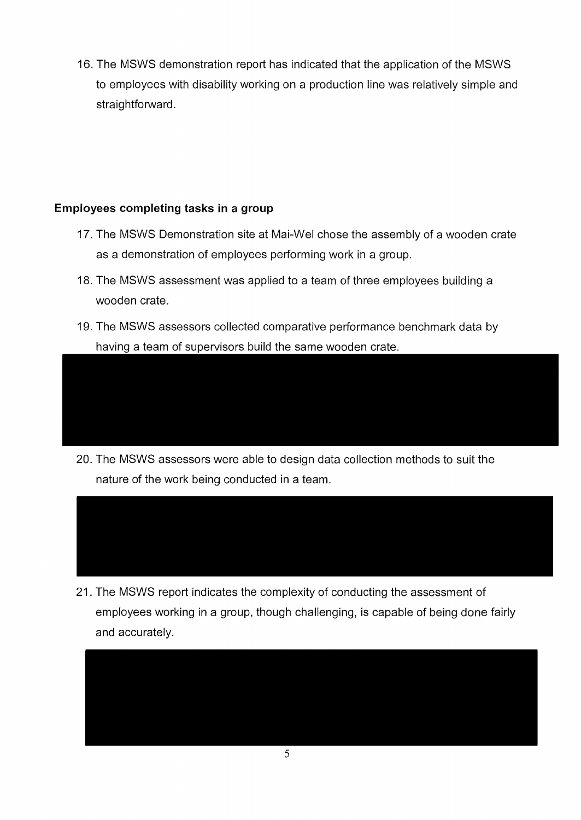16. The MSWS demonstration report has indicated that the application of the MSWS to employees with disability working on a production line was relatively simple and straightforward.

# **Employees completing tasks in a group**

- 17. The MSWS Demonstration site at Mai-Wel chose the assembly of a wooden crate as a demonstration of employees performing work in a group.
- 18. The MSWS assessment was applied to a team of three employees building a wooden crate.
- 19. The MSWS assessors collected comparative performance benchmark data by having a team of supervisors build the same wooden crate.

20. The MSWS assessors were able to design data collection methods to suit the nature of the work being conducted in a team.



employees working in a group, though challenging, is capable of being done fairly and accurately.

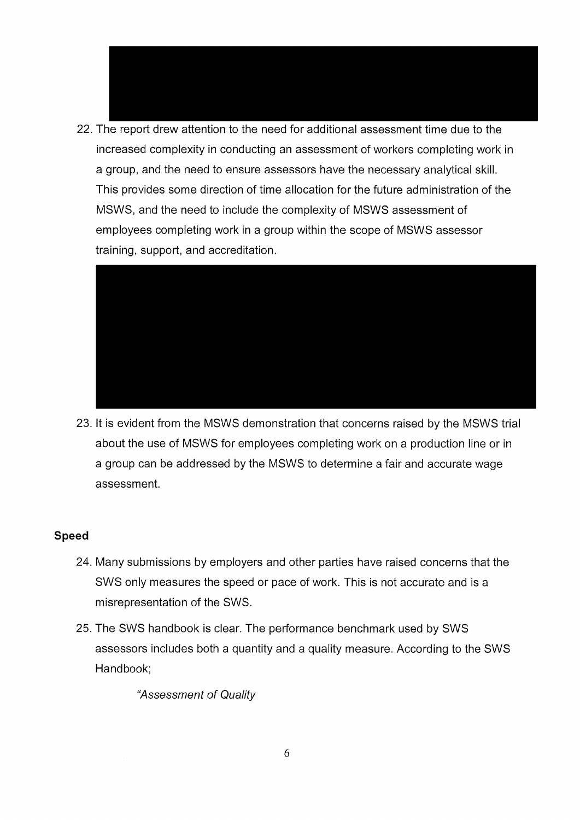



23. It is evident from the MSWS demonstration that concerns raised by the MSWS trial about the use of MSWS for employees completing work on a production line or in a group can be addressed by the MSWS to determine a fair and accurate wage assessment.

#### **Speed**

- 24. Many submissions by employers and other parties have raised concerns that the SWS only measures the speed or pace of work. This is not accurate and is a misrepresentation of the SWS.
- 25. The SWS handbook is clear. The performance benchmark used by SWS assessors includes both a quantity and a quality measure. According to the SWS Handbook;

"Assessment of Quality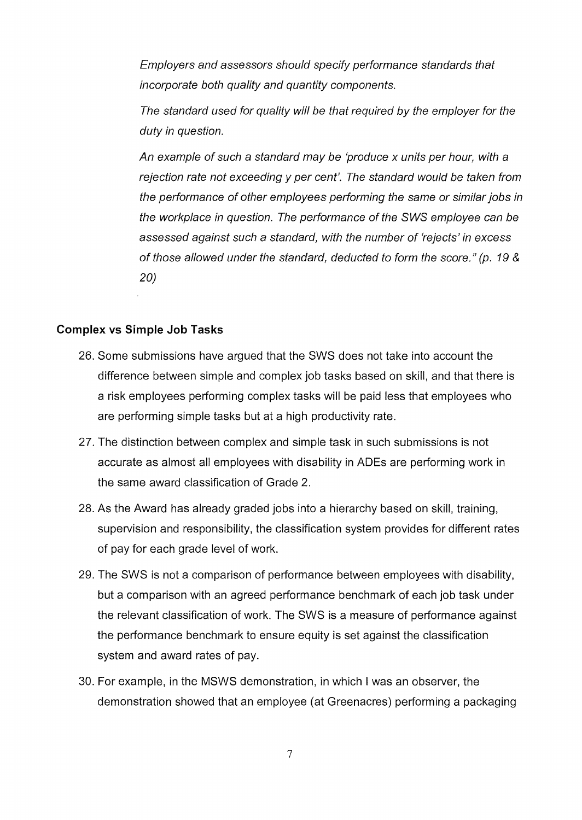Employers and assessors should specify performance standards that incorporate both quality and quantity components.

The standard used for quality will be that required by the employer for the duty in question.

An example of such a standard may be 'produce x units per hour, with a rejection rate not exceeding y per cent'. The standard would be taken from the performance of other employees performing the same or similar jobs in the workplace in question. The performance of the SWS employee can be assessed against such a standard, with the number of 'rejects' in excess of those allowed under the standard, deducted to form the score." (p. 19 & 20)

#### **Complex vs Simple Job Tasks**

- 26. Some submissions have argued that the SWS does not take into account the difference between simple and complex job tasks based on skill, and that there is a risk employees performing complex tasks will be paid less that employees who are performing simple tasks but at a high productivity rate.
- 27. The distinction between complex and simple task in such submissions is not accurate as almost all employees with disability in ADEs are performing work in the same award classification of Grade 2.
- 28. As the Award has already graded jobs into a hierarchy based on skill, training, supervision and responsibility, the classification system provides for different rates of pay for each grade level of work.
- 29. The SWS is not a comparison of performance between employees with disability, but a comparison with an agreed performance benchmark of each job task under the relevant classification of work. The SWS is a measure of performance against the performance benchmark to ensure equity is set against the classification system and award rates of pay.
- 30. For example, in the MSWS demonstration, in which I was an observer, the demonstration showed that an employee (at Greenacres) performing a packaging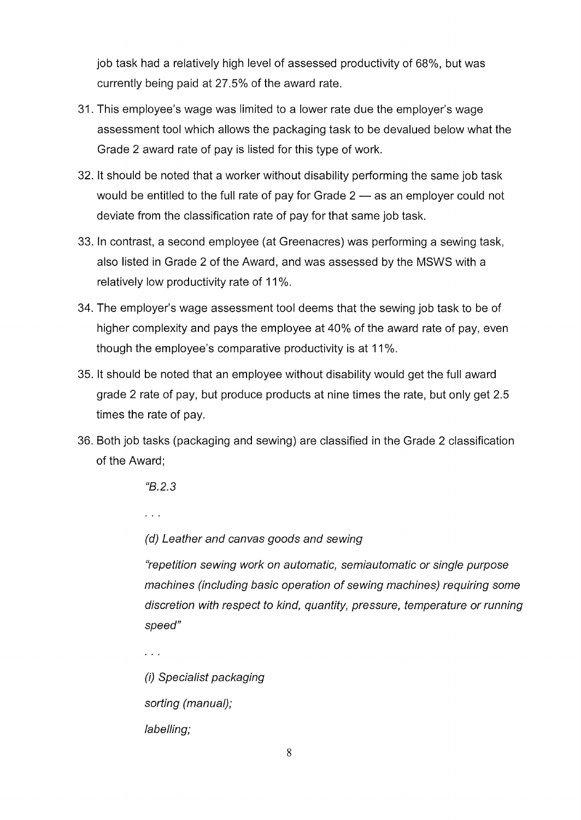job task had a relatively high level of assessed productivity of 68%, but was currently being paid at 27.5% of the award rate.

- 31. This employee's wage was limited to a lower rate due the employer's wage assessment tool which allows the packaging task to be devalued below what the Grade 2 award rate of pay is listed for this type of work.
- 32. It should be noted that a worker without disability performing the same job task would be entitled to the full rate of pay for Grade  $2 - a s$  an employer could not deviate from the classification rate of pay for that same job task.
- 33. In contrast, a second employee (at Greenacres) was performing a sewing task, also listed in Grade 2 of the Award, and was assessed by the MSWS with a relatively low productivity rate of 11%.
- 34. The employer's wage assessment tool deems that the sewing job task to be of higher complexity and pays the employee at 40% of the award rate of pay, even though the employee's comparative productivity is at 11%.
- 35. It should be noted that an employee without disability would get the full award grade 2 rate of pay, but produce products at nine times the rate, but only get 2.5 times the rate of pay.
- 36. Both job tasks (packaging and sewing) are classified in the Grade 2 classification of the Award;

*"8.2.3* 

 $\cdots$ 

 $\sim$   $\sim$ 

(d) Leather and canvas goods and sewing

"repetition sewing work on automatic, semiautomatic or single purpose machines (including basic operation of sewing machines) requiring some discretion with respect to kind, quantity, pressure, temperature or running speed"

(i) Specialist packaging sorting (manual); labelling;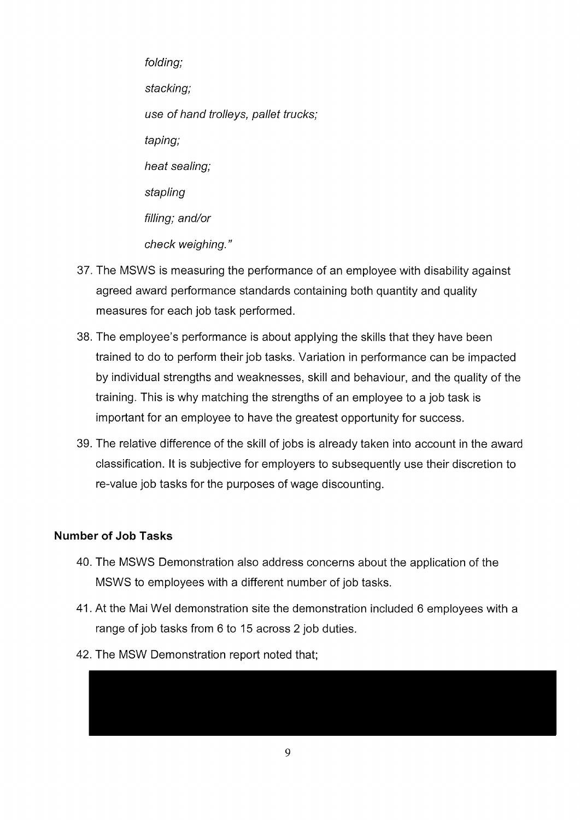folding; stacking; use of hand trolleys, pallet trucks; taping; heat sealing; stapling filling; and/or check weighing."

- 37. The MSWS is measuring the performance of an employee with disability against agreed award performance standards containing both quantity and quality measures for each job task performed.
- 38. The employee's performance is about applying the skills that they have been trained to do to perform their job tasks. Variation in performance can be impacted by individual strengths and weaknesses, skill and behaviour, and the quality of the training. This is why matching the strengths of an employee to a job task is important for an employee to have the greatest opportunity for success.
- 39. The relative difference of the skill of jobs is already taken into account in the award classification. It is subjective for employers to subsequently use their discretion to re-value job tasks for the purposes of wage discounting.

### **Number of Job Tasks**

- 40. The MSWS Demonstration also address concerns about the application of the MSWS to employees with a different number of job tasks.
- 41. At the Mai Wei demonstration site the demonstration included 6 employees with a range of job tasks from 6 to 15 across 2 job duties.
- 42. The MSW Demonstration report noted that;

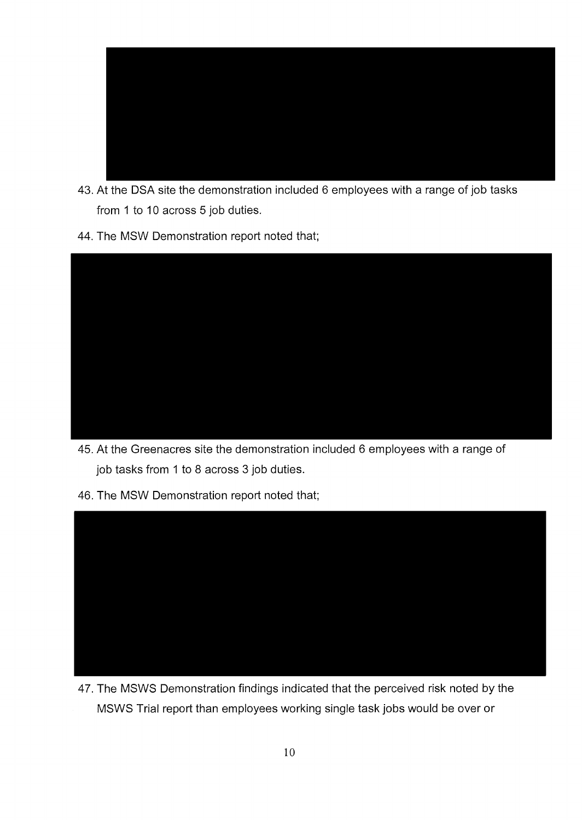

- 43. At the DSA site the demonstration included 6 employees with a range of job tasks from 1 to 10 across 5 job duties.
- 44. The MSW Demonstration report noted that;



- 45. At the Greenacres site the demonstration included 6 employees with a range of job tasks from 1 to 8 across 3 job duties.
- 46. The MSW Demonstration report noted that;



47. The MSWS Demonstration findings indicated that the perceived risk noted by the MSWS Trial report than employees working single task jobs would be over or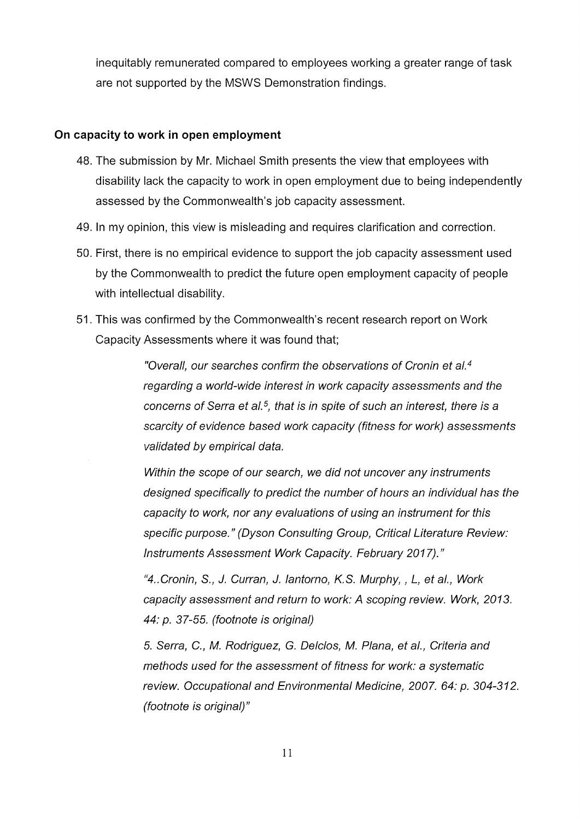inequitably remunerated compared to employees working a greater range of task are not supported by the MSWS Demonstration findings.

### **On capacity to work in open employment**

- 48. The submission by Mr. Michael Smith presents the view that employees with disability lack the capacity to work in open employment due to being independently assessed by the Commonwealth's job capacity assessment.
- 49. In my opinion, this view is misleading and requires clarification and correction.
- 50. First, there is no empirical evidence to support the job capacity assessment used by the Commonwealth to predict the future open employment capacity of people with intellectual disability.
- 51. This was confirmed by the Commonwealth's recent research report on Work Capacity Assessments where it was found that;

"Overall, our searches confirm the observations of Cronin et al.<sup>4</sup> regarding a world-wide interest in work capacity assessments and the concerns of Serra et al.<sup>5</sup>, that is in spite of such an interest, there is a scarcity of evidence based work capacity (fitness for work) assessments validated by empirical data.

Within the scope of our search, we did not uncover any instruments designed specifically to predict the number of hours an individual has the capacity to work, nor any evaluations of using an instrument for this specific purpose." (Dyson Consulting Group, Critical Literature Review: Instruments Assessment Work Capacity. February 2017)."

"4 .. Cronin, S., *J.* Curran, *J.* lantorno, K.S. Murphy,, L, eta!., Work capacity assessment and return to work: A scoping review. Work, 2013. 44: p. 37-55. (footnote is original)

5. Serra, C., M. Rodriguez, G. Delclos, M. Plana, et al., Criteria and methods used for the assessment of fitness for work: a systematic review. Occupational and Environmental Medicine, 2007. 64: p. 304-312. (footnote is original)"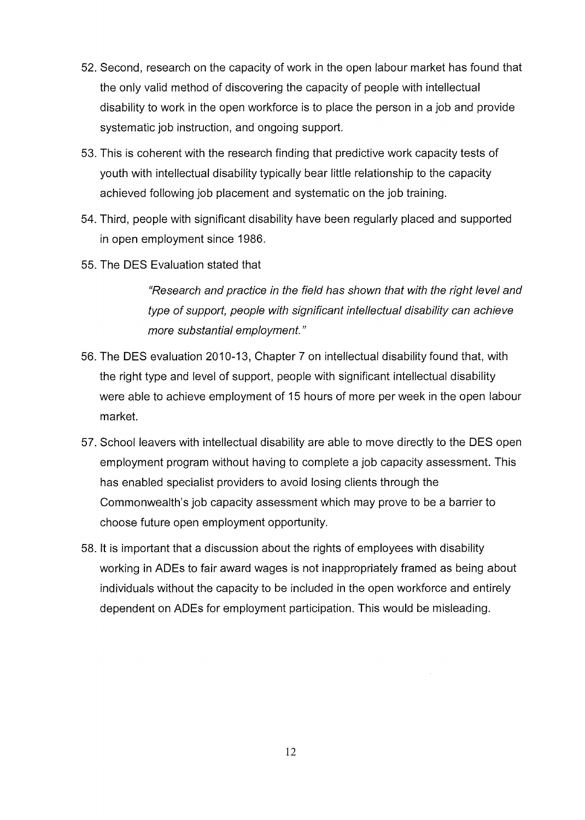- 52. Second, research on the capacity of work in the open labour market has found that the only valid method of discovering the capacity of people with intellectual disability to work in the open workforce is to place the person in a job and provide systematic job instruction, and ongoing support.
- 53. This is coherent with the research finding that predictive work capacity tests of youth with intellectual disability typically bear little relationship to the capacity achieved following job placement and systematic on the job training.
- 54. Third, people with significant disability have been regularly placed and supported in open employment since 1986.
- 55. The DES Evaluation stated that

"Research and practice in the field has shown that with the right level and type of support, people with significant intellectual disability can achieve more substantial employment."

- 56. The DES evaluation 2010-13, Chapter 7 on intellectual disability found that, with the right type and level of support, people with significant intellectual disability were able to achieve employment of 15 hours of more per week in the open labour market.
- 57. School leavers with intellectual disability are able to move directly to the DES open employment program without having to complete a job capacity assessment. This has enabled specialist providers to avoid losing clients through the Commonwealth's job capacity assessment which may prove to be a barrier to choose future open employment opportunity.
- 58. It is important that a discussion about the rights of employees with disability working in ADEs to fair award wages is not inappropriately framed as being about individuals without the capacity to be included in the open workforce and entirely dependent on ADEs for employment participation. This would be misleading.